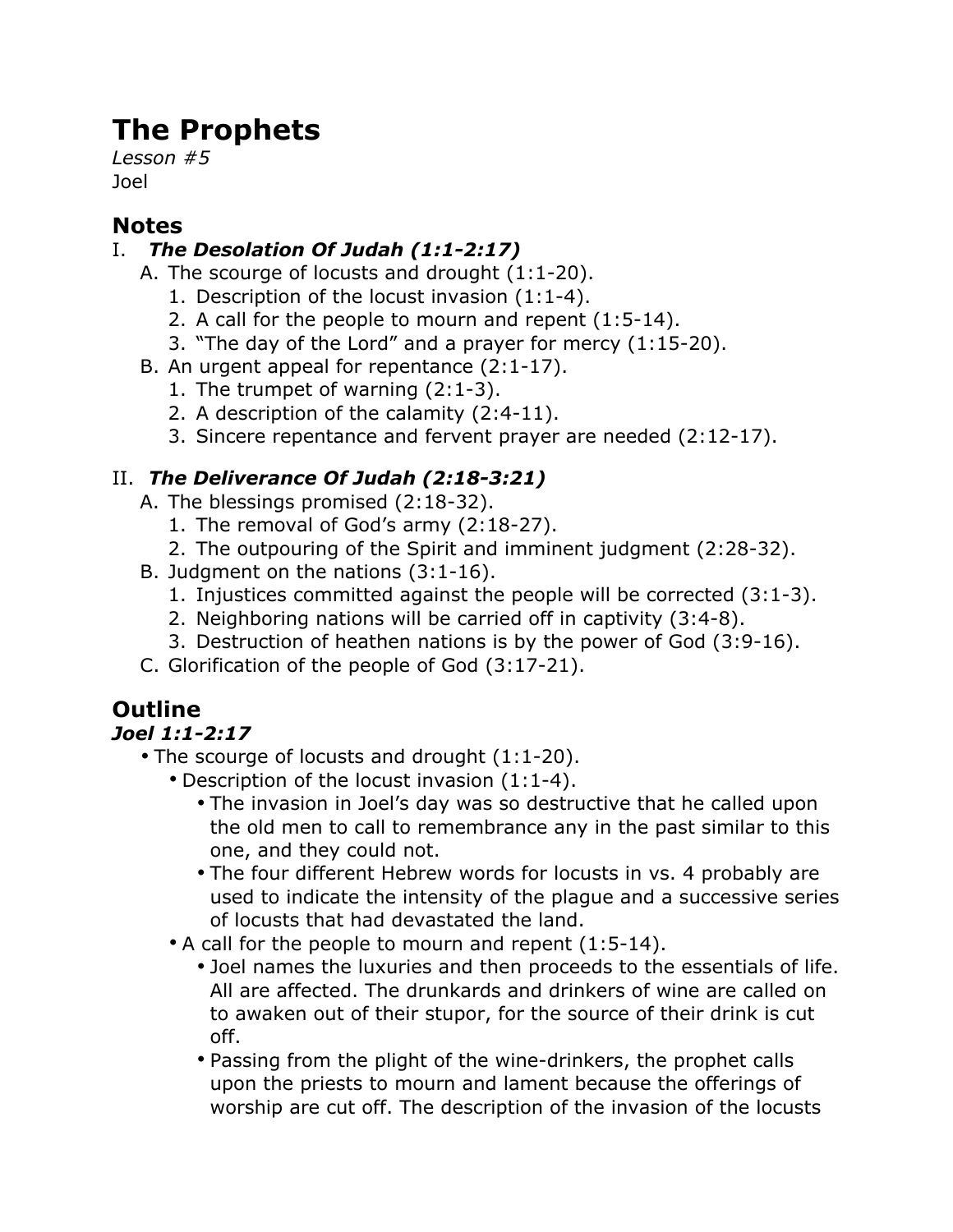# **The Prophets**

*Lesson #5* Joel

#### **Notes**

#### I. *The Desolation Of Judah (1:1-2:17)*

- A. The scourge of locusts and drought (1:1-20).
	- 1. Description of the locust invasion (1:1-4).
	- 2. A call for the people to mourn and repent (1:5-14).
	- 3. "The day of the Lord" and a prayer for mercy (1:15-20).
- B. An urgent appeal for repentance (2:1-17).
	- 1. The trumpet of warning (2:1-3).
	- 2. A description of the calamity (2:4-11).
	- 3. Sincere repentance and fervent prayer are needed (2:12-17).

### II. *The Deliverance Of Judah (2:18-3:21)*

- A. The blessings promised (2:18-32).
	- 1. The removal of God's army (2:18-27).
	- 2. The outpouring of the Spirit and imminent judgment (2:28-32).
- B. Judgment on the nations (3:1-16).
	- 1. Injustices committed against the people will be corrected (3:1-3).
	- 2. Neighboring nations will be carried off in captivity (3:4-8).
	- 3. Destruction of heathen nations is by the power of God (3:9-16).
- C. Glorification of the people of God (3:17-21).

## **Outline**

#### *Joel 1:1-2:17*

- The scourge of locusts and drought (1:1-20).
	- Description of the locust invasion (1:1-4).
		- The invasion in Joel's day was so destructive that he called upon the old men to call to remembrance any in the past similar to this one, and they could not.
		- The four different Hebrew words for locusts in vs. 4 probably are used to indicate the intensity of the plague and a successive series of locusts that had devastated the land.
	- A call for the people to mourn and repent (1:5-14).
		- Joel names the luxuries and then proceeds to the essentials of life. All are affected. The drunkards and drinkers of wine are called on to awaken out of their stupor, for the source of their drink is cut off.
		- Passing from the plight of the wine-drinkers, the prophet calls upon the priests to mourn and lament because the offerings of worship are cut off. The description of the invasion of the locusts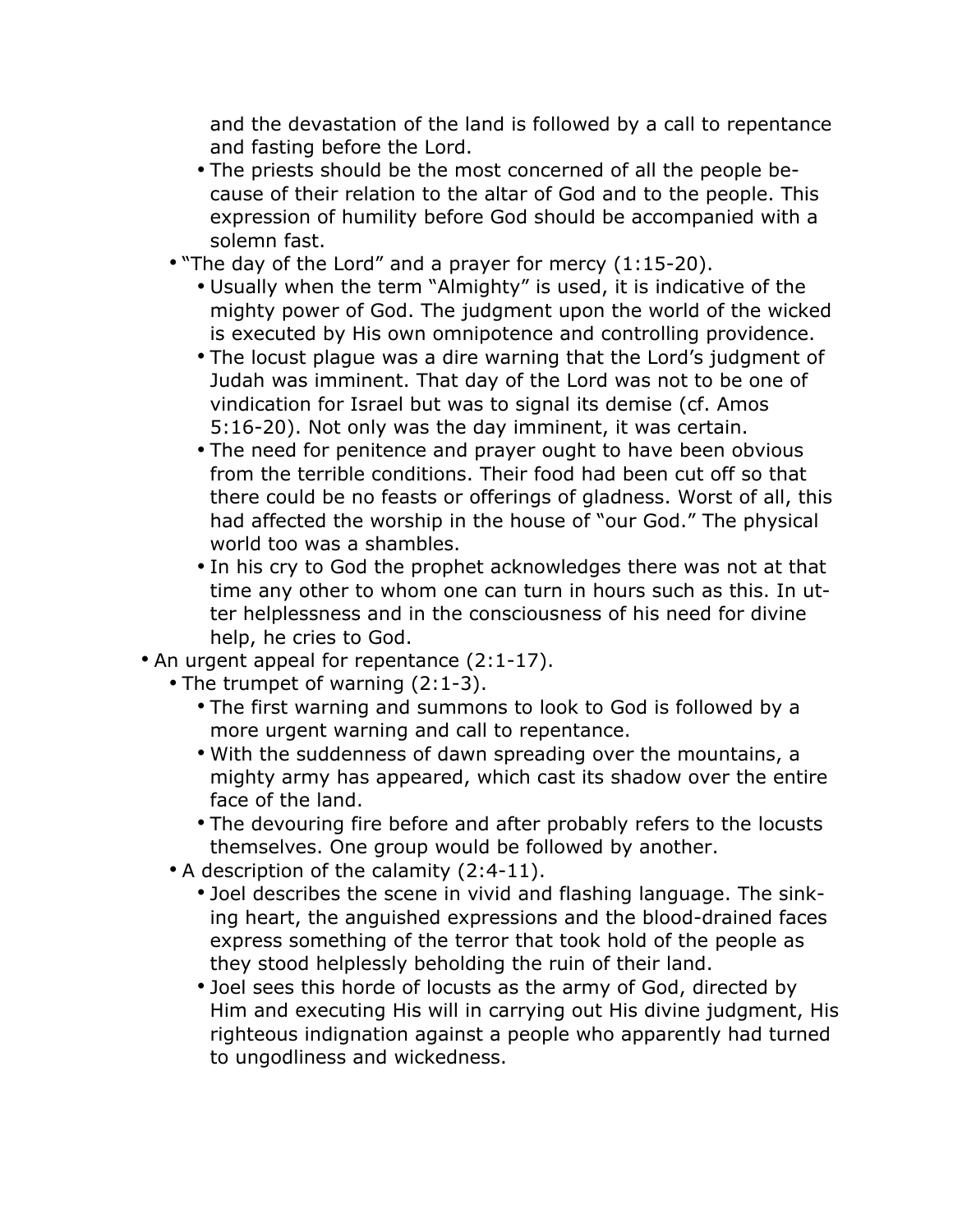and the devastation of the land is followed by a call to repentance and fasting before the Lord.

- The priests should be the most concerned of all the people because of their relation to the altar of God and to the people. This expression of humility before God should be accompanied with a solemn fast.
- "The day of the Lord" and a prayer for mercy (1:15-20).
	- Usually when the term "Almighty" is used, it is indicative of the mighty power of God. The judgment upon the world of the wicked is executed by His own omnipotence and controlling providence.
	- The locust plague was a dire warning that the Lord's judgment of Judah was imminent. That day of the Lord was not to be one of vindication for Israel but was to signal its demise (cf. Amos 5:16-20). Not only was the day imminent, it was certain.
	- The need for penitence and prayer ought to have been obvious from the terrible conditions. Their food had been cut off so that there could be no feasts or offerings of gladness. Worst of all, this had affected the worship in the house of "our God." The physical world too was a shambles.
	- In his cry to God the prophet acknowledges there was not at that time any other to whom one can turn in hours such as this. In utter helplessness and in the consciousness of his need for divine help, he cries to God.
- An urgent appeal for repentance (2:1-17).
	- The trumpet of warning (2:1-3).
		- The first warning and summons to look to God is followed by a more urgent warning and call to repentance.
		- With the suddenness of dawn spreading over the mountains, a mighty army has appeared, which cast its shadow over the entire face of the land.
		- The devouring fire before and after probably refers to the locusts themselves. One group would be followed by another.
	- A description of the calamity (2:4-11).
		- Joel describes the scene in vivid and flashing language. The sinking heart, the anguished expressions and the blood-drained faces express something of the terror that took hold of the people as they stood helplessly beholding the ruin of their land.
		- Joel sees this horde of locusts as the army of God, directed by Him and executing His will in carrying out His divine judgment, His righteous indignation against a people who apparently had turned to ungodliness and wickedness.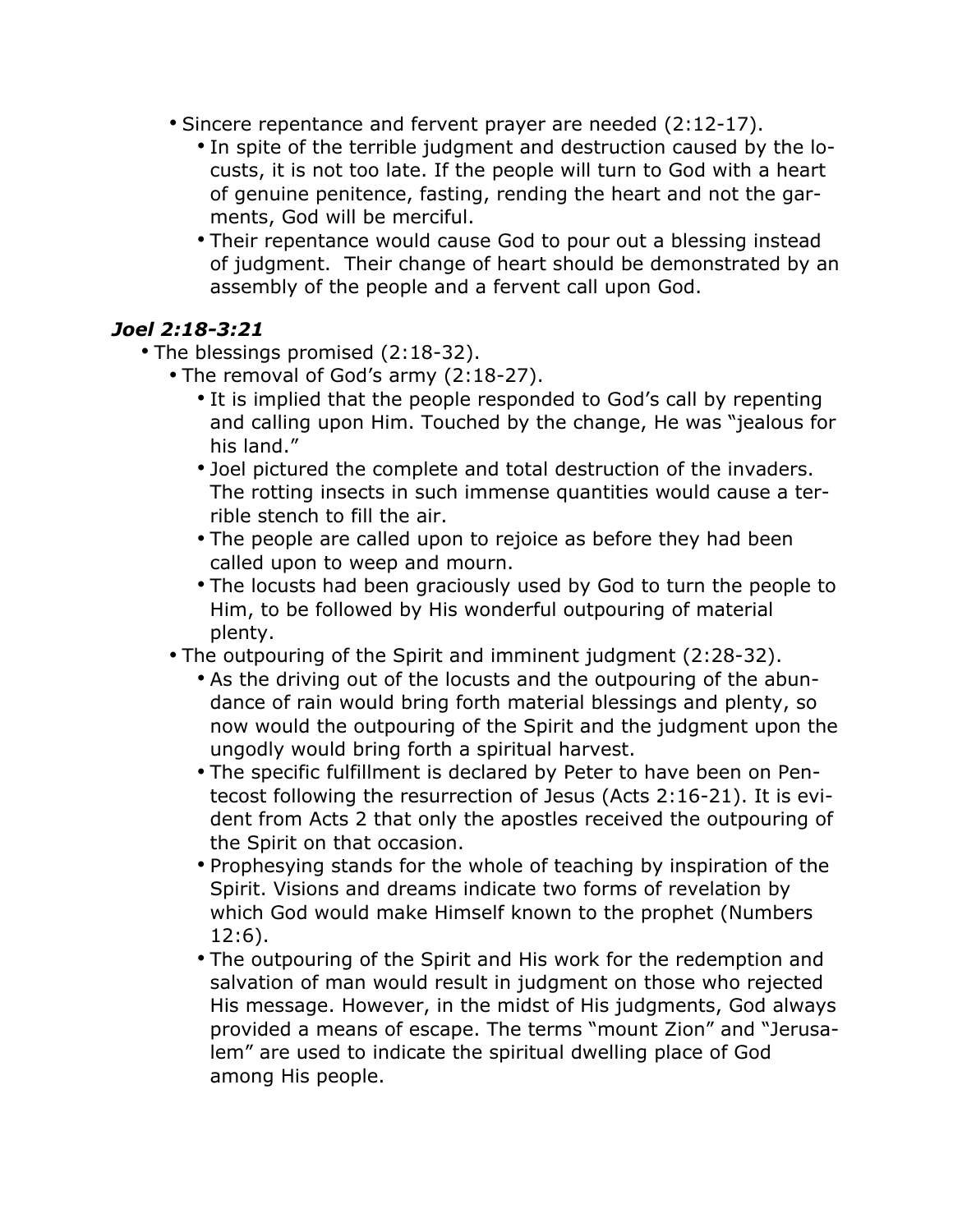- Sincere repentance and fervent prayer are needed (2:12-17).
	- In spite of the terrible judgment and destruction caused by the locusts, it is not too late. If the people will turn to God with a heart of genuine penitence, fasting, rending the heart and not the garments, God will be merciful.
	- Their repentance would cause God to pour out a blessing instead of judgment. Their change of heart should be demonstrated by an assembly of the people and a fervent call upon God.

#### *Joel 2:18-3:21*

- The blessings promised (2:18-32).
	- The removal of God's army (2:18-27).
		- It is implied that the people responded to God's call by repenting and calling upon Him. Touched by the change, He was "jealous for his land."
		- Joel pictured the complete and total destruction of the invaders. The rotting insects in such immense quantities would cause a terrible stench to fill the air.
		- The people are called upon to rejoice as before they had been called upon to weep and mourn.
		- The locusts had been graciously used by God to turn the people to Him, to be followed by His wonderful outpouring of material plenty.
	- The outpouring of the Spirit and imminent judgment (2:28-32).
		- As the driving out of the locusts and the outpouring of the abundance of rain would bring forth material blessings and plenty, so now would the outpouring of the Spirit and the judgment upon the ungodly would bring forth a spiritual harvest.
		- The specific fulfillment is declared by Peter to have been on Pentecost following the resurrection of Jesus (Acts 2:16-21). It is evident from Acts 2 that only the apostles received the outpouring of the Spirit on that occasion.
		- Prophesying stands for the whole of teaching by inspiration of the Spirit. Visions and dreams indicate two forms of revelation by which God would make Himself known to the prophet (Numbers 12:6).
		- The outpouring of the Spirit and His work for the redemption and salvation of man would result in judgment on those who rejected His message. However, in the midst of His judgments, God always provided a means of escape. The terms "mount Zion" and "Jerusalem" are used to indicate the spiritual dwelling place of God among His people.